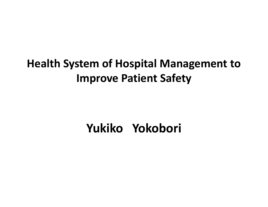### **Health System of Hospital Management to Improve Patient Safety**

### **Yukiko Yokobori**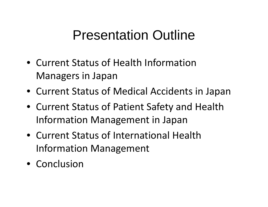## Presentation Outline

- Current Status of Health Information Managers in Japan
- Current Status of Medical Accidents in Japan
- Current Status of Patient Safety and Health Information Management in Japan
- Current Status of International Health Information Management
- Conclusion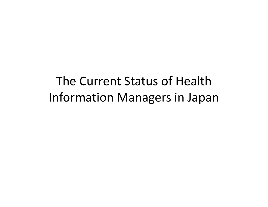## The Current Status of Health Information Managers in Japan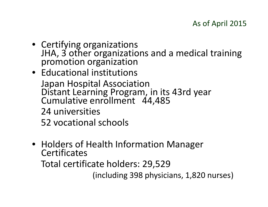- Certifying organizations JHA, 3 other organizations and a medical training promotion organization
- Educational institutions Japan Hospital Association Distant Learning Program, in its 43rd year Cumulative enrollment 44,485 24 universities 52 vocational schools
- Holders of Health Information Manager **Certificates** Total certificate holders: 29,529 (including 398 physicians, 1,820 nurses)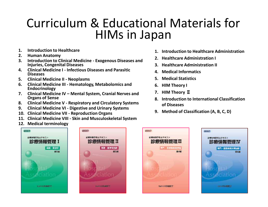#### Curriculum & Educational Materials for HIMs in Japan

- **1. Introduction to Healthcare**
- **2. Human Anatomy**
- **3. Introduction to Clinical Medicine - Exogenous Diseases and Injuries, Congenital Diseases**
- **4. Clinical Medicine I - Infectious Diseases and Parasitic Diseases**
- **5. Clinical Medicine II - Neoplasms**
- **6. Clinical Medicine III - Hematology, Metabolomics and Endocrinology**
- **7. Clinical Medicine IV –Mental System, Cranial Nerves and Organs of Sense**
- **8. Clinical Medicine V - Respiratory and Circulatory Systems**
- **9. Clinical Medicine VI - Digestive and Urinary Systems**
- **10. Clinical Medicine VII - Reproduction Organs**
- **11. Clinical Medicine VIII - Skin and Musculoskeletal System**
- **12. Medical terminology**



- **1. Introduction to Healthcare Administration**
- **2. Healthcare Administration I**
- **3. Healthcare Administration II**
- **4. Medical Informatics**
- **5. Medical Statistics**
- **6. HIM Theory I**
- **7. HIM Theory Ⅱ**
- **8. Introduction to International Classification of Diseases**
- **9. Method of Classification (A, B, C, D)**

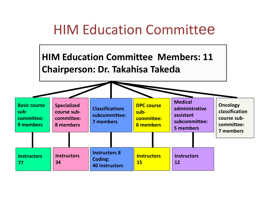## HIM Education Committee



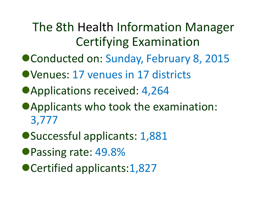## The 8th Health Information Manager Certifying Examination

- Conducted on: Sunday, February 8, 2015
- Venues: 17 venues in 17 districts
- Applications received: 4,264
- Applicants who took the examination: 3,777
- Successful applicants: 1,881
- Passing rate: 49.8%
- Certified applicants: 1,827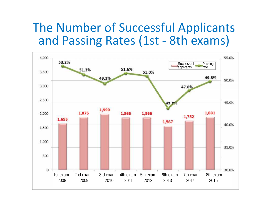### The Number of Successful Applicants and Passing Rates (1st - 8th exams)

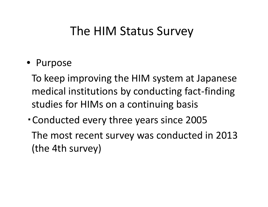### The HIM Status Survey

#### • Purpose

To keep improving the HIM system at Japanese medical institutions by conducting fact-finding studies for HIMs on a continuing basis

・Conducted every three years since 2005

The most recent survey was conducted in 2013 (the 4th survey)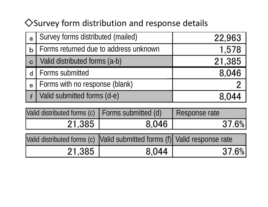#### ◇Survey form distribution and response details

| a | Survey forms distributed (mailed)     | 22,963 |
|---|---------------------------------------|--------|
|   | Forms returned due to address unknown | 1,578  |
|   | Valid distributed forms (a-b)         | 21,385 |
|   | <b>Forms submitted</b>                | 8,046  |
| e | Forms with no response (blank)        |        |
|   | Valid submitted forms (d-e)           |        |

| Valid distributed forms (c)   Forms submitted (d) |                                                                           | Response rate |
|---------------------------------------------------|---------------------------------------------------------------------------|---------------|
| 21,385                                            | 8.046                                                                     | 37.6%         |
|                                                   | Valid distributed forms (c) Valid submitted forms (f) Valid response rate |               |
| 21,385                                            | 8.044                                                                     | 37.6%         |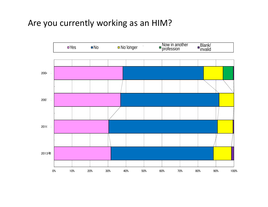#### Are you currently working as an HIM?

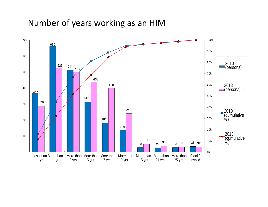#### Number of years working as an HIM

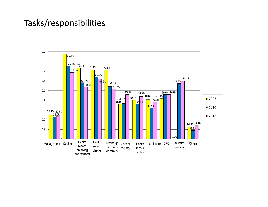#### Tasks/responsibilities

![](_page_12_Figure_1.jpeg)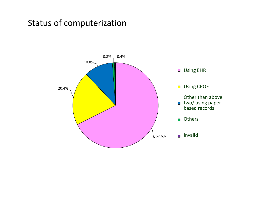#### Status of computerization

![](_page_13_Figure_1.jpeg)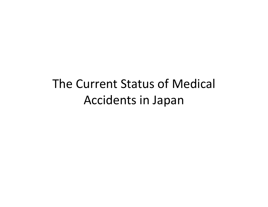## The Current Status of Medical Accidents in Japan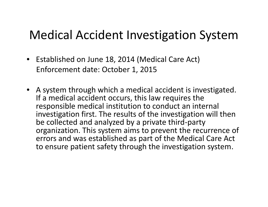### Medical Accident Investigation System

- Established on June 18, 2014 (Medical Care Act) Enforcement date: October 1, 2015
- A system through which a medical accident is investigated. If a medical accident occurs, this law requires the responsible medical institution to conduct an internal investigation first. The results of the investigation will then be collected and analyzed by a private third-party organization. This system aims to prevent the recurrence of errors and was established as part of the Medical Care Act to ensure patient safety through the investigation system.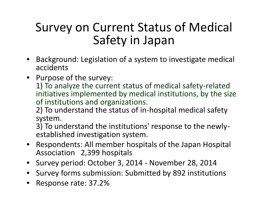### Survey on Current Status of Medical Safety in Japan

- Background: Legislation of a system to investigate medical accidents
- Purpose of the survey:

1) To analyze the current status of medical safety-related initiatives implemented by medical institutions, by the size of institutions and organizations.

2) To understand the status of in-hospital medical safety

system. 3) To understand the institutions' response to the newly- established investigation system.

- Respondents: All member hospitals of the Japan Hospital Association 2,399 hospitals
- Survey period: October 3, 2014 November 28, 2014
- Survey forms submission: Submitted by 892 institutions
- Response rate: 37.2%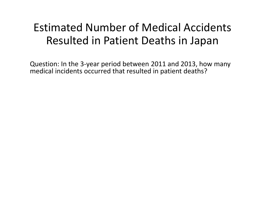#### Estimated Number of Medical Accidents Resulted in Patient Deaths in Japan

Question: In the 3-year period between 2011 and 2013, how many medical incidents occurred that resulted in patient deaths?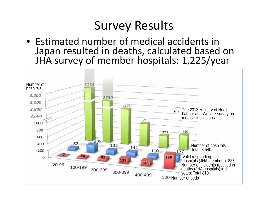### Survey Results

• Estimated number of medical accidents in Japan resulted in deaths, calculated based on JHA survey of member hospitals: 1,225/year

![](_page_18_Figure_2.jpeg)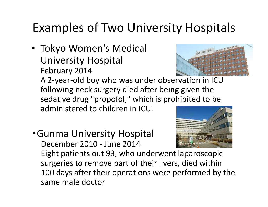## Examples of Two University Hospitals

• Tokyo Women's Medical University Hospital February 2014

A 2-year-old boy who was under observation in ICU following neck surgery died after being given the sedative drug "propofol," which is prohibited to be administered to children in ICU.

・Gunma University Hospital December 2010 - June 2014

Eight patients out 93, who underwent laparoscopic surgeries to remove part of their livers, died within 100 days after their operations were performed by the same male doctor

![](_page_19_Picture_5.jpeg)

![](_page_19_Picture_6.jpeg)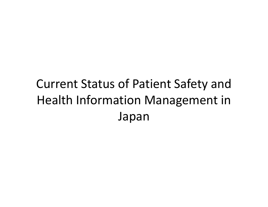## Current Status of Patient Safety and Health Information Management in Japan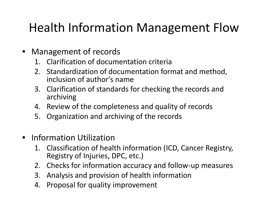## Health Information Management Flow

- Management of records
	- 1. Clarification of documentation criteria
	- 2. Standardization of documentation format and method, inclusion of author's name
	- 3. Clarification of standards for checking the records and archiving
	- 4. Review of the completeness and quality of records
	- 5. Organization and archiving of the records
- Information Utilization
	- 1. Classification of health information (ICD, Cancer Registry, Registry of Injuries, DPC, etc.)
	- 2. Checks for information accuracy and follow-up measures
	- 3. Analysis and provision of health information
	- 4. Proposal for quality improvement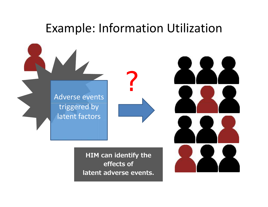### Example: Information Utilization

![](_page_22_Picture_1.jpeg)

**HIM can identify the effects of latent adverse events.**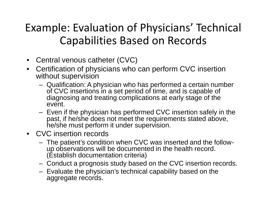### Example: Evaluation of Physicians' Technical Capabilities Based on Records

- Central venous catheter (CVC)
- Certification of physicians who can perform CVC insertion without supervision
	- Qualification: A physician who has performed a certain number of CVC insertions in a set period of time, and is capable of diagnosing and treating complications at early stage of the event.
	- Even if the physician has performed CVC insertion safely in the past, if he/she does not meet the requirements stated above, he/she must perform it under supervision.
- CVC insertion records
	- The patient's condition when CVC was inserted and the follow- up observations will be documented in the health record. (Establish documentation criteria)
	- Conduct a prognosis study based on the CVC insertion records.
	- Evaluate the physician's technical capability based on the aggregate records.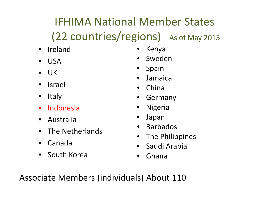## IFHIMA National Member States (22 countries/regions) As of May 2015

- Ireland
- USA
- UK
- Israel
- Italy
- **Indonesia**
- Australia
- The Netherlands
- Canada
- South Korea
- Kenya
- **Sweden**
- **Spain**
- Jamaica
- China
- Germany
- Nigeria
- Japan
- **Barbados**
- The Philippines
- Saudi Arabia
- Ghana

Associate Members (individuals) About 110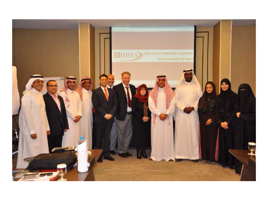![](_page_25_Picture_0.jpeg)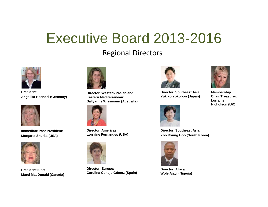## Executive Board 2013-2016

#### Regional Directors

![](_page_26_Picture_2.jpeg)

**President: Angelika Haendel (Germany)**

![](_page_26_Picture_4.jpeg)

**Immediate Past President: Margaret Skurka (USA)**

![](_page_26_Picture_6.jpeg)

**President Elect: Marci MacDonald (Canada)**

![](_page_26_Picture_8.jpeg)

**Director, Western Pacific and Eastern Mediterranean: Sallyanne Wissmann (Australia)**

![](_page_26_Picture_10.jpeg)

**Director, Americas: Lorraine Fernandes (USA)**

![](_page_26_Picture_12.jpeg)

**Director, Europe: Carolina Conejo Gómez (Spain)**

![](_page_26_Picture_14.jpeg)

**Director, Southeast Asia: Yukiko Yokobori (Japan)**

![](_page_26_Picture_16.jpeg)

**Director, Southeast Asia: Yoo Kyung Boo (South Korea)**

![](_page_26_Picture_18.jpeg)

**Director, Africa: Wole Ajayi (Nigeria)**

![](_page_26_Picture_20.jpeg)

**Membership Chair/Treasurer: Lorraine Nicholson (UK)**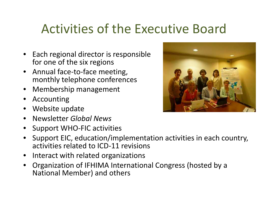## Activities of the Executive Board

- Each regional director is responsible for one of the six regions
- Annual face-to-face meeting, monthly telephone conferences
- Membership management
- **Accounting**
- Website update
- Newsletter *Global News*
- Support WHO-FIC activities
- Support EIC, education/implementation activities in each country, activities related to ICD-11 revisions
- Interact with related organizations
- Organization of IFHIMA International Congress (hosted by a National Member) and others

![](_page_27_Picture_11.jpeg)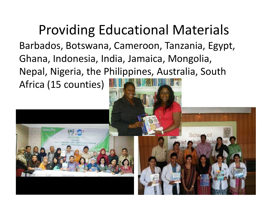Providing Educational Materials Barbados, Botswana, Cameroon, Tanzania, Egypt, Ghana, Indonesia, India, Jamaica, Mongolia, Nepal, Nigeria, the Philippines, Australia, South

Africa (15 counties)

![](_page_28_Picture_2.jpeg)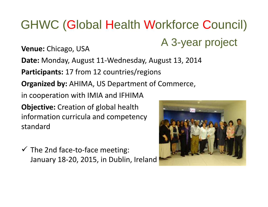# GHWC (Global Health Workforce Council)

**Venue:** Chicago, USA

**Date:** Monday, August 11-Wednesday, August 13, 2014

**Participants:** 17 from 12 countries/regions

**Organized by:** AHIMA, US Department of Commerce,

in cooperation with IMIA and IFHIMA

**Objective:** Creation of global health information curricula and competency standard

 $\checkmark$  The 2nd face-to-face meeting: January 18-20, 2015, in Dublin, Ireland

![](_page_29_Picture_8.jpeg)

A 3-year project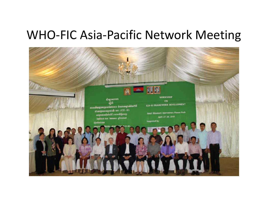### WHO-FIC Asia-Pacific Network Meeting

![](_page_30_Picture_1.jpeg)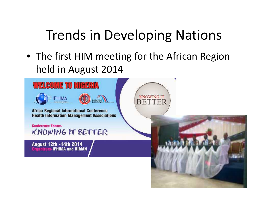## Trends in Developing Nations

• The first HIM meeting for the African Region held in August 2014

![](_page_31_Picture_2.jpeg)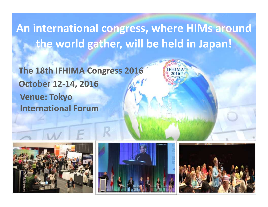**An international congress, where HIMs around the world gather, will be held in Japan!**

**October 12-14, 2016 The 18th IFHIMA Congress 2016 Venue: Tokyo International Forum**

![](_page_32_Picture_2.jpeg)

![](_page_32_Picture_3.jpeg)

![](_page_32_Picture_4.jpeg)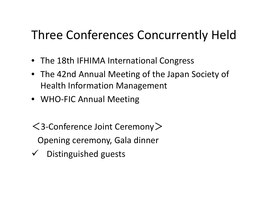## Three Conferences Concurrently Held

- The 18th IFHIMA International Congress
- The 42nd Annual Meeting of the Japan Society of Health Information Management
- WHO-FIC Annual Meeting
- <3-Conference Joint Ceremony>
	- Opening ceremony, Gala dinner
- $\checkmark$  Distinguished guests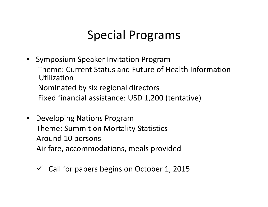### Special Programs

- Symposium Speaker Invitation Program Theme: Current Status and Future of Health Information Utilization Nominated by six regional directors Fixed financial assistance: USD 1,200 (tentative)
- Developing Nations Program Theme: Summit on Mortality Statistics Around 10 persons Air fare, accommodations, meals provided
	- $\checkmark$  Call for papers begins on October 1, 2015